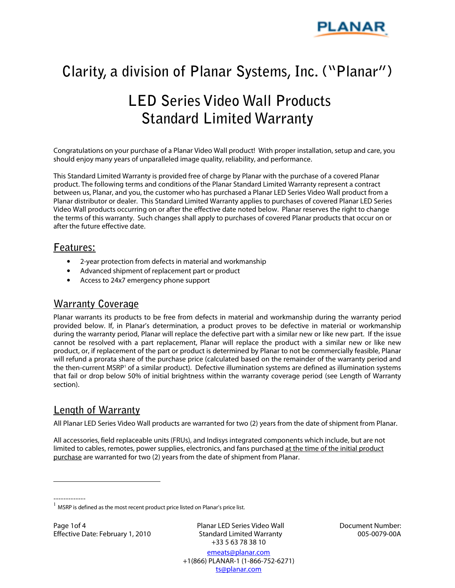

# **Clarity, a division of Planar Systems, Inc. ("Planar")**

# **LED Series Video Wall Products Standard Limited Warranty**

Congratulations on your purchase of a Planar Video Wall product! With proper installation, setup and care, you should enjoy many years of unparalleled image quality, reliability, and performance.

This Standard Limited Warranty is provided free of charge by Planar with the purchase of a covered Planar product. The following terms and conditions of the Planar Standard Limited Warranty represent a contract between us, Planar, and you, the customer who has purchased a Planar LED Series Video Wall product from a Planar distributor or dealer. This Standard Limited Warranty applies to purchases of covered Planar LED Series Video Wall products occurring on or after the effective date noted below. Planar reserves the right to change the terms of this warranty. Such changes shall apply to purchases of covered Planar products that occur on or after the future effective date.

#### **Features:**

- 2-year protection from defects in material and workmanship
- Advanced shipment of replacement part or product
- Access to 24x7 emergency phone support

## **Warranty Coverage**

Planar warrants its products to be free from defects in material and workmanship during the warranty period provided below. If, in Planar's determination, a product proves to be defective in material or workmanship during the warranty period, Planar will replace the defective part with a similar new or like new part. If the issue cannot be resolved with a part replacement, Planar will replace the product with a similar new or like new product, or, if replacement of the part or product is determined by Planar to not be commercially feasible, Planar will refund a prorata share of the purchase price (calculated based on the remainder of the warranty period and the then-current MSRP<sup>1</sup> of a similar product). Defective illumination systems are defined as illumination systems that fail or drop below 50% of initial brightness within the warranty coverage period (see Length of Warranty section).

### **Length of Warranty**

All Planar LED Series Video Wall products are warranted for two (2) years from the date of shipment from Planar.

All accessories, field replaceable units (FRUs), and Indisys integrated components which include, but are not limited to cables, remotes, power supplies, electronics, and fans purchased at the time of the initial product purchase are warranted for two (2) years from the date of shipment from Planar.

-------------

 $\overline{a}$ 

Page 1of 4 Effective Date: February 1, 2010 Planar LED Series Video Wall Standard Limited Warranty +33 5 63 78 38 10

Document Number: 005-0079-00A

 $1$  MSRP is defined as the most recent product price listed on Planar's price list.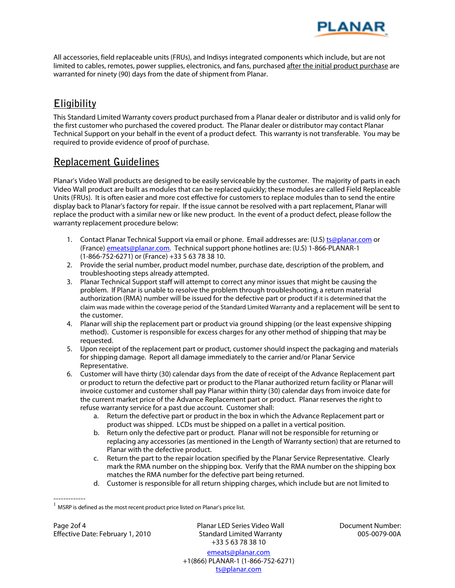

All accessories, field replaceable units (FRUs), and Indisys integrated components which include, but are not limited to cables, remotes, power supplies, electronics, and fans, purchased after the initial product purchase are warranted for ninety (90) days from the date of shipment from Planar.

## **Eligibility**

This Standard Limited Warranty covers product purchased from a Planar dealer or distributor and is valid only for the first customer who purchased the covered product. The Planar dealer or distributor may contact Planar Technical Support on your behalf in the event of a product defect. This warranty is not transferable. You may be required to provide evidence of proof of purchase.

## **Replacement Guidelines**

Planar's Video Wall products are designed to be easily serviceable by the customer. The majority of parts in each Video Wall product are built as modules that can be replaced quickly; these modules are called Field Replaceable Units (FRUs). It is often easier and more cost effective for customers to replace modules than to send the entire display back to Planar's factory for repair. If the issue cannot be resolved with a part replacement, Planar will replace the product with a similar new or like new product. In the event of a product defect, please follow the warranty replacement procedure below:

- 1. Contact Planar Technical Support via email or phone. Email addresses are: (U.S) ts@planar.com or (France) **emeats@planar.com.** Technical support phone hotlines are: (U.S) 1-866-PLANAR-1 (1-866-752-6271) or (France) +33 5 63 78 38 10.
- 2. Provide the serial number, product model number, purchase date, description of the problem, and troubleshooting steps already attempted.
- 3. Planar Technical Support staff will attempt to correct any minor issues that might be causing the problem. If Planar is unable to resolve the problem through troubleshooting, a return material authorization (RMA) number will be issued for the defective part or product if it is determined that the claim was made within the coverage period of the Standard Limited Warranty and a replacement will be sent to the customer.
- 4. Planar will ship the replacement part or product via ground shipping (or the least expensive shipping method). Customer is responsible for excess charges for any other method of shipping that may be requested.
- 5. Upon receipt of the replacement part or product, customer should inspect the packaging and materials for shipping damage. Report all damage immediately to the carrier and/or Planar Service Representative.
- 6. Customer will have thirty (30) calendar days from the date of receipt of the Advance Replacement part or product to return the defective part or product to the Planar authorized return facility or Planar will invoice customer and customer shall pay Planar within thirty (30) calendar days from invoice date for the current market price of the Advance Replacement part or product. Planar reserves the right to refuse warranty service for a past due account. Customer shall:
	- a. Return the defective part or product in the box in which the Advance Replacement part or product was shipped. LCDs must be shipped on a pallet in a vertical position.
	- b. Return only the defective part or product. Planar will not be responsible for returning or replacing any accessories (as mentioned in the Length of Warranty section) that are returned to Planar with the defective product.
	- c. Return the part to the repair location specified by the Planar Service Representative. Clearly mark the RMA number on the shipping box. Verify that the RMA number on the shipping box matches the RMA number for the defective part being returned.
	- d. Customer is responsible for all return shipping charges, which include but are not limited to

Page 2of 4 Effective Date: February 1, 2010

-------------

Planar LED Series Video Wall Standard Limited Warranty +33 5 63 78 38 10

Document Number: 005-0079-00A

 $1$  MSRP is defined as the most recent product price listed on Planar's price list.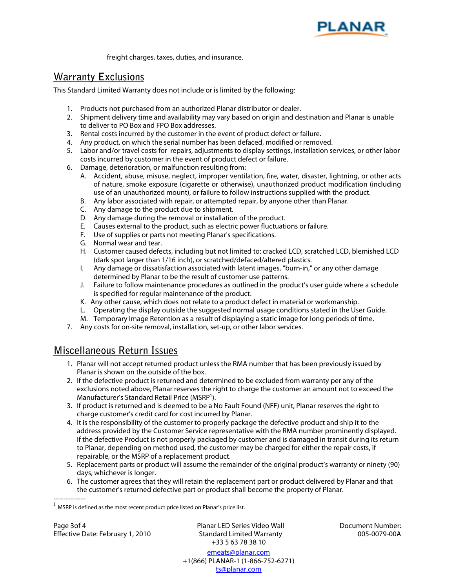

freight charges, taxes, duties, and insurance.

## **Warranty Exclusions**

This Standard Limited Warranty does not include or is limited by the following:

- 1. Products not purchased from an authorized Planar distributor or dealer.
- 2. Shipment delivery time and availability may vary based on origin and destination and Planar is unable to deliver to PO Box and FPO Box addresses.
- 3. Rental costs incurred by the customer in the event of product defect or failure.
- 4. Any product, on which the serial number has been defaced, modified or removed.
- 5. Labor and/or travel costs for repairs, adjustments to display settings, installation services, or other labor costs incurred by customer in the event of product defect or failure.
- 6. Damage, deterioration, or malfunction resulting from:
	- A. Accident, abuse, misuse, neglect, improper ventilation, fire, water, disaster, lightning, or other acts of nature, smoke exposure (cigarette or otherwise), unauthorized product modification (including use of an unauthorized mount), or failure to follow instructions supplied with the product.
	- B. Any labor associated with repair, or attempted repair, by anyone other than Planar.
	- C. Any damage to the product due to shipment.
	- D. Any damage during the removal or installation of the product.
	- E. Causes external to the product, such as electric power fluctuations or failure.
	- F. Use of supplies or parts not meeting Planar's specifications.
	- G. Normal wear and tear.
	- H. Customer caused defects, including but not limited to: cracked LCD, scratched LCD, blemished LCD (dark spot larger than 1/16 inch), or scratched/defaced/altered plastics.
	- I. Any damage or dissatisfaction associated with latent images, "burn-in," or any other damage determined by Planar to be the result of customer use patterns.
	- J. Failure to follow maintenance procedures as outlined in the product's user guide where a schedule is specified for regular maintenance of the product.
	- K. Any other cause, which does not relate to a product defect in material or workmanship.
	- L. Operating the display outside the suggested normal usage conditions stated in the User Guide.
	- M. Temporary Image Retention as a result of displaying a static image for long periods of time.
- 7. Any costs for on-site removal, installation, set-up, or other labor services.

## **Miscellaneous Return Issues**

- 1. Planar will not accept returned product unless the RMA number that has been previously issued by Planar is shown on the outside of the box.
- 2. If the defective product is returned and determined to be excluded from warranty per any of the exclusions noted above, Planar reserves the right to charge the customer an amount not to exceed the Manufacturer's Standard Retail Price (MSRP<sup>1</sup>).
- 3. If product is returned and is deemed to be a No Fault Found (NFF) unit, Planar reserves the right to charge customer's credit card for cost incurred by Planar.
- 4. It is the responsibility of the customer to properly package the defective product and ship it to the address provided by the Customer Service representative with the RMA number prominently displayed. If the defective Product is not properly packaged by customer and is damaged in transit during its return to Planar, depending on method used, the customer may be charged for either the repair costs, if repairable, or the MSRP of a replacement product.
- 5. Replacement parts or product will assume the remainder of the original product's warranty or ninety (90) days, whichever is longer.
- ------------- 6. The customer agrees that they will retain the replacement part or product delivered by Planar and that the customer's returned defective part or product shall become the property of Planar.

Page 3of 4 Effective Date: February 1, 2010 Planar LED Series Video Wall Standard Limited Warranty +33 5 63 78 38 10

Document Number: 005-0079-00A

 $1$  MSRP is defined as the most recent product price listed on Planar's price list.